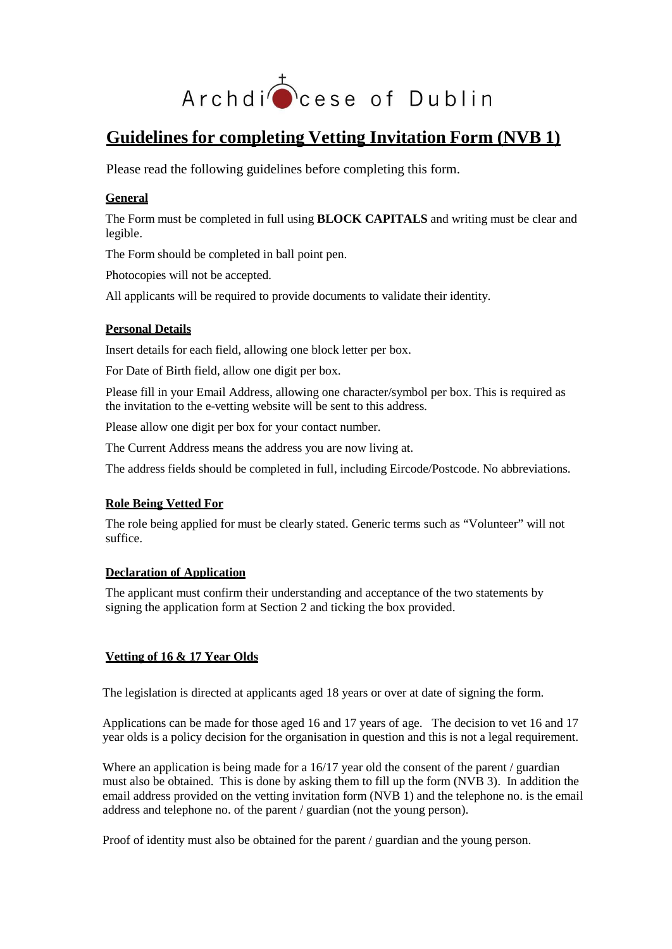

# **Guidelines for completing Vetting Invitation Form (NVB 1)**

Please read the following guidelines before completing this form.

### **General**

The Form must be completed in full using **BLOCK CAPITALS** and writing must be clear and legible.

The Form should be completed in ball point pen.

Photocopies will not be accepted.

All applicants will be required to provide documents to validate their identity.

#### **Personal Details**

Insert details for each field, allowing one block letter per box.

For Date of Birth field, allow one digit per box.

Please fill in your Email Address, allowing one character/symbol per box. This is required as the invitation to the e-vetting website will be sent to this address.

Please allow one digit per box for your contact number.

The Current Address means the address you are now living at.

The address fields should be completed in full, including Eircode/Postcode. No abbreviations.

#### **Role Being Vetted For**

The role being applied for must be clearly stated. Generic terms such as "Volunteer" will not suffice.

#### **Declaration of Application**

The applicant must confirm their understanding and acceptance of the two statements by signing the application form at Section 2 and ticking the box provided.

## **Vetting of 16 & 17 Year Olds**

The legislation is directed at applicants aged 18 years or over at date of signing the form.

Applications can be made for those aged 16 and 17 years of age. The decision to vet 16 and 17 year olds is a policy decision for the organisation in question and this is not a legal requirement.

Where an application is being made for a 16/17 year old the consent of the parent / guardian must also be obtained. This is done by asking them to fill up the form (NVB 3). In addition the email address provided on the vetting invitation form (NVB 1) and the telephone no. is the email address and telephone no. of the parent / guardian (not the young person).

Proof of identity must also be obtained for the parent / guardian and the young person.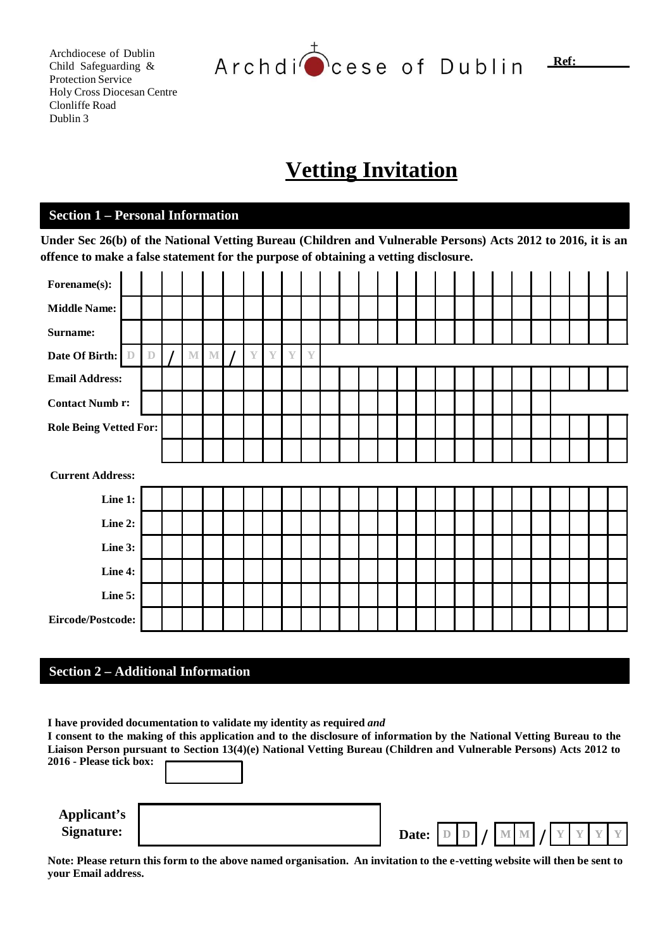Archdiocese of Dublin Child Safeguarding & Protection Service Holy Cross Diocesan Centre Clonliffe Road Dublin 3

Archdi cese of Dublin

**Vetting Invitation**

## **Section 1 – Personal Information**

Under Sec 26(b) of the National Vetting Bureau (Children and Vulnerable Persons) Acts 2012 to 2016, it is an **offence to make a false statement for the purpose of obtaining a vetting disclosure.**

| Forename(s):                  |              |             |             |             |               |               |              |               |  |  |  |  |  |  |  |  |
|-------------------------------|--------------|-------------|-------------|-------------|---------------|---------------|--------------|---------------|--|--|--|--|--|--|--|--|
| <b>Middle Name:</b>           |              |             |             |             |               |               |              |               |  |  |  |  |  |  |  |  |
| Surname:                      |              |             |             |             |               |               |              |               |  |  |  |  |  |  |  |  |
| Date Of Birth:                | $\mathbb{D}$ | $\mathbb D$ | $\mathbb M$ | $\mathbb M$ | $\mathbb {Y}$ | $\mathbb {Y}$ | $\mathbf{Y}$ | $\mathbb {Y}$ |  |  |  |  |  |  |  |  |
| <b>Email Address:</b>         |              |             |             |             |               |               |              |               |  |  |  |  |  |  |  |  |
| <b>Contact Numb r:</b>        |              |             |             |             |               |               |              |               |  |  |  |  |  |  |  |  |
| <b>Role Being Vetted For:</b> |              |             |             |             |               |               |              |               |  |  |  |  |  |  |  |  |
|                               |              |             |             |             |               |               |              |               |  |  |  |  |  |  |  |  |
| <b>Current Address:</b>       |              |             |             |             |               |               |              |               |  |  |  |  |  |  |  |  |
| Line 1:                       |              |             |             |             |               |               |              |               |  |  |  |  |  |  |  |  |
| Line 2:                       |              |             |             |             |               |               |              |               |  |  |  |  |  |  |  |  |
| Line 3:                       |              |             |             |             |               |               |              |               |  |  |  |  |  |  |  |  |
| Line 4:                       |              |             |             |             |               |               |              |               |  |  |  |  |  |  |  |  |
| Line 5:                       |              |             |             |             |               |               |              |               |  |  |  |  |  |  |  |  |
| Eircode/Postcode:             |              |             |             |             |               |               |              |               |  |  |  |  |  |  |  |  |

#### **Section 2 – Additional Information**

**I have provided documentation to validate my identity as required** *and*

I consent to the making of this application and to the disclosure of information by the National Vetting Bureau to the Liaison Person pursuant to Section 13(4)(e) National Vetting Bureau (Children and Vulnerable Persons) Acts 2012 to **2016 - Please tick box:** 

**Applicant's**

| Date: $D D / M M / Y Y Y$ |
|---------------------------|
|                           |

Note: Please return this form to the above named organisation. An invitation to the e-vetting website will then be sent to **your Email address.**

**Ref:**